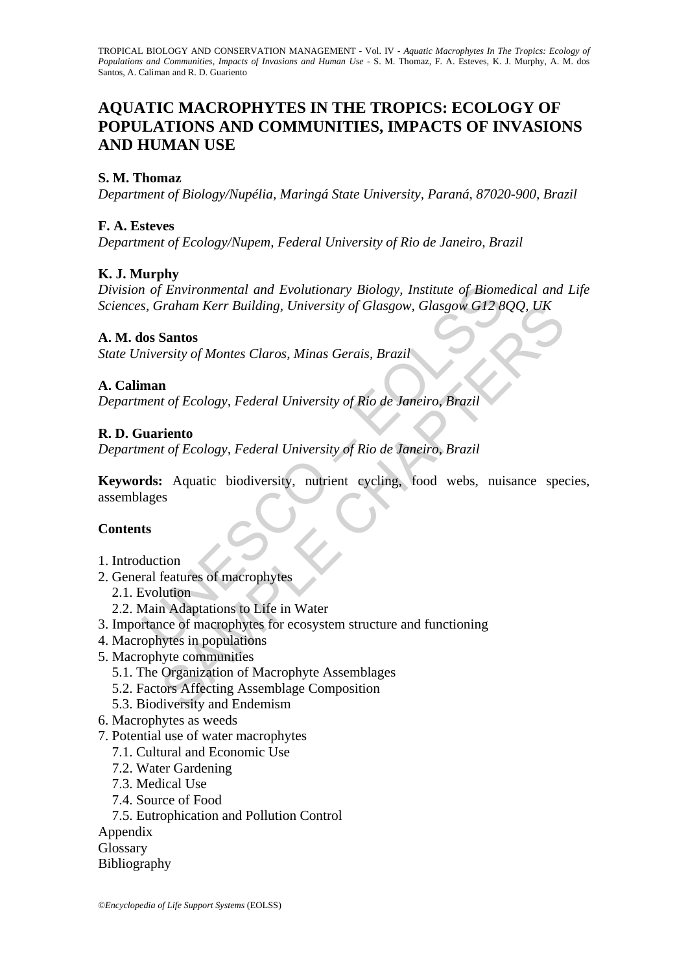# **AQUATIC MACROPHYTES IN THE TROPICS: ECOLOGY OF POPULATIONS AND COMMUNITIES, IMPACTS OF INVASIONS AND HUMAN USE**

### **S. M. Thomaz**

*Department of Biology/Nupélia, Maringá State University, Paraná, 87020-900, Brazil* 

#### **F. A. Esteves**

*Department of Ecology/Nupem, Federal University of Rio de Janeiro, Brazil* 

### **K. J. Murphy**

*Division of Environmental and Evolutionary Biology, Institute of Biomedical and Life Sciences, Graham Kerr Building, University of Glasgow, Glasgow G12 8QQ, UK* 

#### **A. M. dos Santos**

*State University of Montes Claros, Minas Gerais, Brazil*

#### **A. Caliman**

*Department of Ecology, Federal University of Rio de Janeiro, Brazil* 

#### **R. D. Guariento**

*Department of Ecology, Federal University of Rio de Janeiro, Brazil* 

and Evolutionary Biology, Institute of Biom<br>
S. Graham Kerr Building, University of Glasgow, Glasgow G12 &<br>
Sos Santos<br>
inversity of Montes Claros, Minas Gerais, Brazil<br>
man<br>
man<br>
man<br>
tuariento<br>
inversity of Montes Claros Fraham Kerr Building, University of Glasgow, Glasgow, G12 800, UK<br>
Santos<br>
Santos<br>
Antos<br>
In the f Ecology, Federal University of Rio de Janeiro, Brazil<br>
In<br>
the f Ecology, Federal University of Rio de Janeiro, Brazil<br>
Exe **Keywords:** Aquatic biodiversity, nutrient cycling, food webs, nuisance species, assemblages

### **Contents**

- 1. Introduction
- 2. General features of macrophytes
	- 2.1. Evolution
	- 2.2. Main Adaptations to Life in Water
- 3. Importance of macrophytes for ecosystem structure and functioning
- 4. Macrophytes in populations
- 5. Macrophyte communities
	- 5.1. The Organization of Macrophyte Assemblages
	- 5.2. Factors Affecting Assemblage Composition
	- 5.3. Biodiversity and Endemism
- 6. Macrophytes as weeds
- 7. Potential use of water macrophytes
	- 7.1. Cultural and Economic Use
	- 7.2. Water Gardening
	- 7.3. Medical Use
	- 7.4. Source of Food
	- 7.5. Eutrophication and Pollution Control

Appendix

Glossary

Bibliography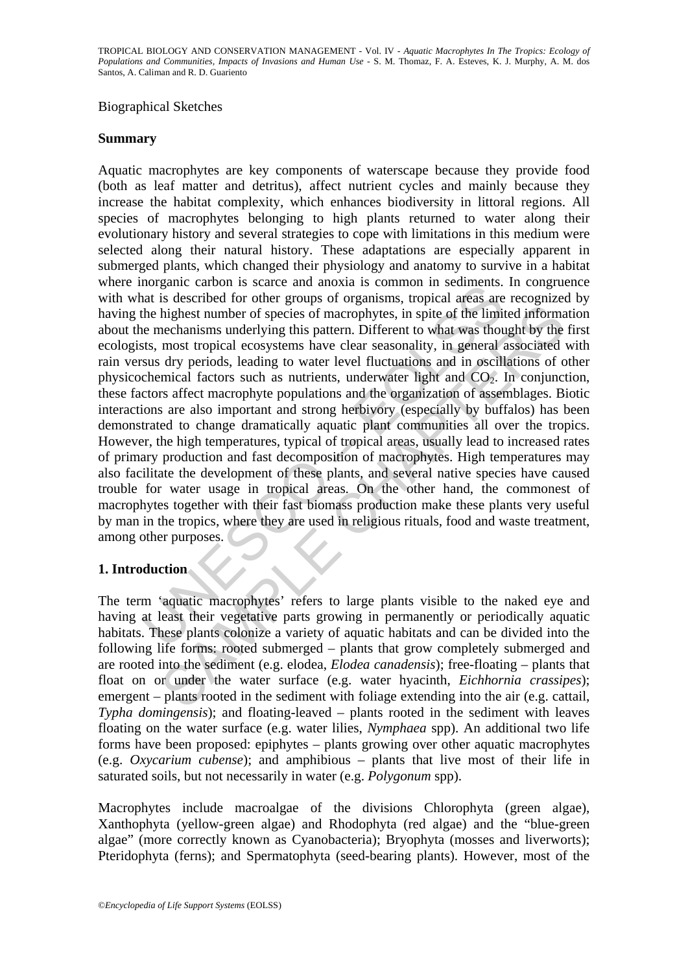#### Biographical Sketches

#### **Summary**

not as scale and anotal same can anotal is described for other groups of organisms, tropical areas are<br>at is described for other groups of organisms, tropical areas are<br>the highest number of species of macrophytes, in spit highest number of species of macrophytes, in spite of the limited informal<br>enchanisms underlying this pattern. Different to what was thought by the<br>mechanisms underlying this pattern. Different to what was thought by the<br> Aquatic macrophytes are key components of waterscape because they provide food (both as leaf matter and detritus), affect nutrient cycles and mainly because they increase the habitat complexity, which enhances biodiversity in littoral regions. All species of macrophytes belonging to high plants returned to water along their evolutionary history and several strategies to cope with limitations in this medium were selected along their natural history. These adaptations are especially apparent in submerged plants, which changed their physiology and anatomy to survive in a habitat where inorganic carbon is scarce and anoxia is common in sediments. In congruence with what is described for other groups of organisms, tropical areas are recognized by having the highest number of species of macrophytes, in spite of the limited information about the mechanisms underlying this pattern. Different to what was thought by the first ecologists, most tropical ecosystems have clear seasonality, in general associated with rain versus dry periods, leading to water level fluctuations and in oscillations of other physicochemical factors such as nutrients, underwater light and  $CO<sub>2</sub>$ . In conjunction, these factors affect macrophyte populations and the organization of assemblages. Biotic interactions are also important and strong herbivory (especially by buffalos) has been demonstrated to change dramatically aquatic plant communities all over the tropics. However, the high temperatures, typical of tropical areas, usually lead to increased rates of primary production and fast decomposition of macrophytes. High temperatures may also facilitate the development of these plants, and several native species have caused trouble for water usage in tropical areas. On the other hand, the commonest of macrophytes together with their fast biomass production make these plants very useful by man in the tropics, where they are used in religious rituals, food and waste treatment, among other purposes.

### **1. Introduction**

The term 'aquatic macrophytes' refers to large plants visible to the naked eye and having at least their vegetative parts growing in permanently or periodically aquatic habitats. These plants colonize a variety of aquatic habitats and can be divided into the following life forms: rooted submerged – plants that grow completely submerged and are rooted into the sediment (e.g. elodea, *Elodea canadensis*); free-floating – plants that float on or under the water surface (e.g. water hyacinth, *Eichhornia crassipes*); emergent – plants rooted in the sediment with foliage extending into the air (e.g. cattail, *Typha domingensis*); and floating-leaved – plants rooted in the sediment with leaves floating on the water surface (e.g. water lilies, *Nymphaea* spp). An additional two life forms have been proposed: epiphytes – plants growing over other aquatic macrophytes (e.g. *Oxycarium cubense*); and amphibious – plants that live most of their life in saturated soils, but not necessarily in water (e.g. *Polygonum* spp).

Macrophytes include macroalgae of the divisions Chlorophyta (green algae), Xanthophyta (yellow-green algae) and Rhodophyta (red algae) and the "blue-green algae" (more correctly known as Cyanobacteria); Bryophyta (mosses and liverworts); Pteridophyta (ferns); and Spermatophyta (seed-bearing plants). However, most of the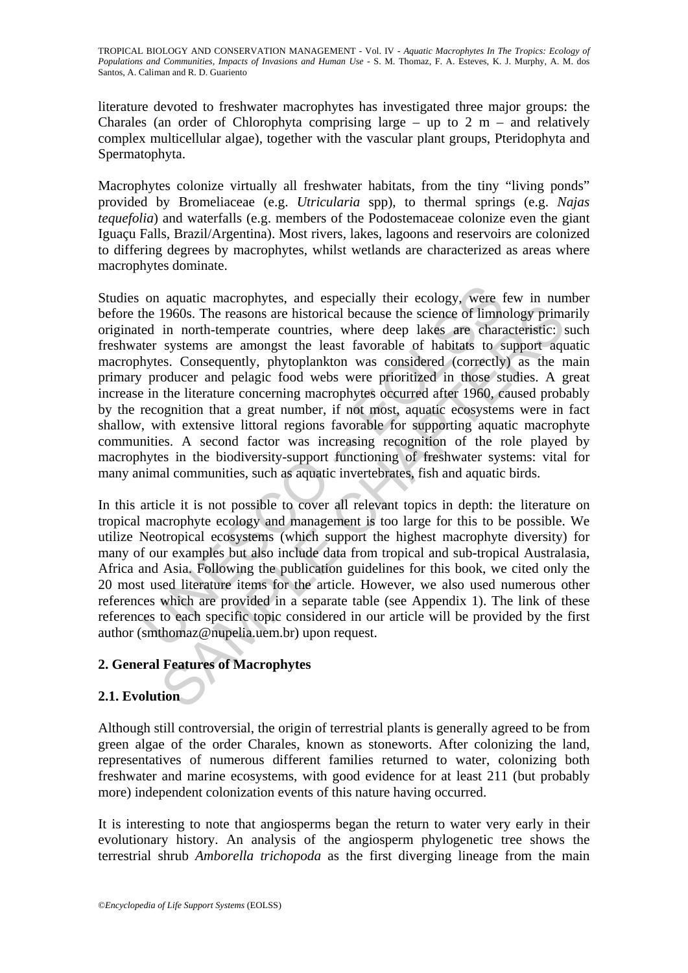literature devoted to freshwater macrophytes has investigated three major groups: the Charales (an order of Chlorophyta comprising large – up to  $2 \text{ m}$  – and relatively complex multicellular algae), together with the vascular plant groups, Pteridophyta and Spermatophyta.

Macrophytes colonize virtually all freshwater habitats, from the tiny "living ponds" provided by Bromeliaceae (e.g. *Utricularia* spp), to thermal springs (e.g. *Najas tequefolia*) and waterfalls (e.g. members of the Podostemaceae colonize even the giant Iguaçu Falls, Brazil/Argentina). Most rivers, lakes, lagoons and reservoirs are colonized to differing degrees by macrophytes, whilst wetlands are characterized as areas where macrophytes dominate.

on aquatic macrophytes, and especially their ecology, were the 1960s. The reasons are historical because the science of limned in north-temperate countries, where deep lakes are charater systems are amongst the least favor 1960s. The reasons are historical because the science of limnology primin morth-temperate countries, where deep lakes are characteristic; systems are mongst the least favorable of habitats to support any systems see, Cons Studies on aquatic macrophytes, and especially their ecology, were few in number before the 1960s. The reasons are historical because the science of limnology primarily originated in north-temperate countries, where deep lakes are characteristic: such freshwater systems are amongst the least favorable of habitats to support aquatic macrophytes. Consequently, phytoplankton was considered (correctly) as the main primary producer and pelagic food webs were prioritized in those studies. A great increase in the literature concerning macrophytes occurred after 1960, caused probably by the recognition that a great number, if not most, aquatic ecosystems were in fact shallow, with extensive littoral regions favorable for supporting aquatic macrophyte communities. A second factor was increasing recognition of the role played by macrophytes in the biodiversity-support functioning of freshwater systems: vital for many animal communities, such as aquatic invertebrates, fish and aquatic birds.

In this article it is not possible to cover all relevant topics in depth: the literature on tropical macrophyte ecology and management is too large for this to be possible. We utilize Neotropical ecosystems (which support the highest macrophyte diversity) for many of our examples but also include data from tropical and sub-tropical Australasia, Africa and Asia. Following the publication guidelines for this book, we cited only the 20 most used literature items for the article. However, we also used numerous other references which are provided in a separate table (see Appendix 1). The link of these references to each specific topic considered in our article will be provided by the first author (smthomaz@nupelia.uem.br) upon request.

## **2. General Features of Macrophytes**

### **2.1. Evolution**

Although still controversial, the origin of terrestrial plants is generally agreed to be from green algae of the order Charales, known as stoneworts. After colonizing the land, representatives of numerous different families returned to water, colonizing both freshwater and marine ecosystems, with good evidence for at least 211 (but probably more) independent colonization events of this nature having occurred.

It is interesting to note that angiosperms began the return to water very early in their evolutionary history. An analysis of the angiosperm phylogenetic tree shows the terrestrial shrub *Amborella trichopoda* as the first diverging lineage from the main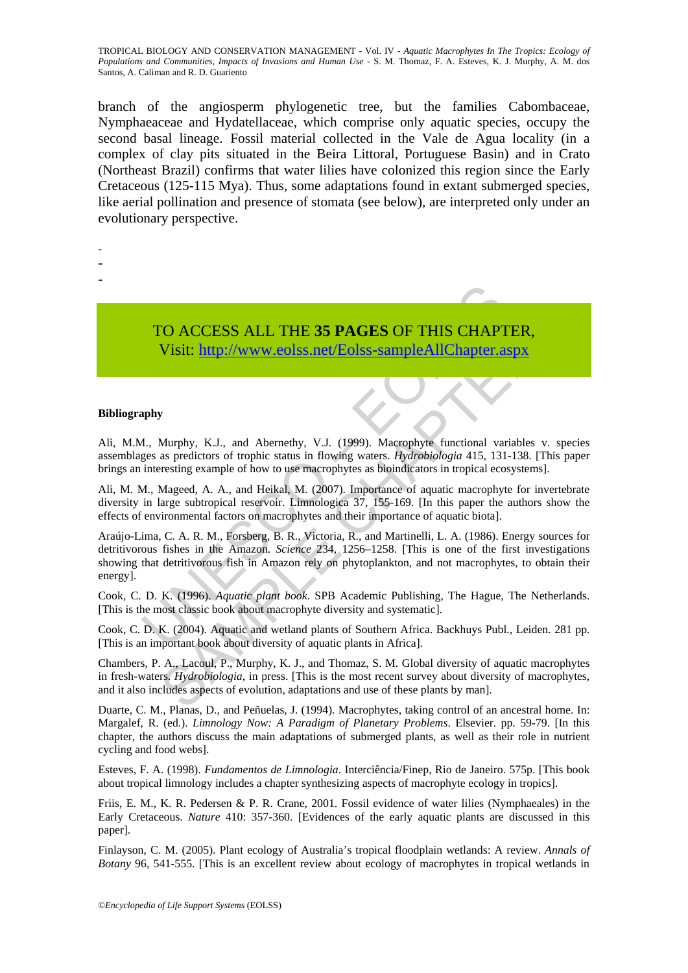branch of the angiosperm phylogenetic tree, but the families Cabombaceae, Nymphaeaceae and Hydatellaceae, which comprise only aquatic species, occupy the second basal lineage. Fossil material collected in the Vale de Agua locality (in a complex of clay pits situated in the Beira Littoral, Portuguese Basin) and in Crato (Northeast Brazil) confirms that water lilies have colonized this region since the Early Cretaceous (125-115 Mya). Thus, some adaptations found in extant submerged species, like aerial pollination and presence of stomata (see below), are interpreted only under an evolutionary perspective.

- -
- -
- -

TO ACCESS ALL THE **35 PAGES** OF THIS CHAPTER, Visit: http://www.eolss.net/Eolss-sampleAllChapter.aspx

#### **Bibliography**

Ali, M.M., Murphy, K.J., and Abernethy, V.J. (1999). Macrophyte functional variables v. species assemblages as predictors of trophic status in flowing waters. *Hydrobiologia* 415, 131-138. [This paper brings an interesting example of how to use macrophytes as bioindicators in tropical ecosystems].

Ali, M. M., Mageed, A. A., and Heikal, M. (2007). Importance of aquatic macrophyte for invertebrate diversity in large subtropical reservoir. Limnologica 37, 155-169. [In this paper the authors show the effects of environmental factors on macrophytes and their importance of aquatic biota].

TO ACCESS ALL THE 35 PAGES OF THIS CHAP<br>Visit: http://www.eolss.net/Eolss-sampleAllChapter.a<br>west speciators of trophic satus in flowing waters. *Hydrobiogia* 415, 131<br>interesting example of how to use macrophytes as biomi CO ACCESS ALL THE 35 PAGES OF THIS CHAPTER,<br>
Visit: http://www.colss.net/Eolss-sampleAllChapter.aspx<br>
Wurphy, K.J., and Abenethy, V.J. (1999). Macrophyte functional variables v. sp<br>
as predictors of trophic status in flow Araújo-Lima, C. A. R. M., Forsberg, B. R., Victoria, R., and Martinelli, L. A. (1986). Energy sources for detritivorous fishes in the Amazon. *Science* 234, 1256–1258. [This is one of the first investigations showing that detritivorous fish in Amazon rely on phytoplankton, and not macrophytes, to obtain their energy].

Cook, C. D. K. (1996). *Aquatic plant book*. SPB Academic Publishing, The Hague, The Netherlands. [This is the most classic book about macrophyte diversity and systematic].

Cook, C. D. K. (2004). Aquatic and wetland plants of Southern Africa. Backhuys Publ., Leiden. 281 pp. [This is an important book about diversity of aquatic plants in Africa].

Chambers, P. A., Lacoul, P., Murphy, K. J., and Thomaz, S. M. Global diversity of aquatic macrophytes in fresh-waters. *Hydrobiologia*, in press. [This is the most recent survey about diversity of macrophytes, and it also includes aspects of evolution, adaptations and use of these plants by man].

Duarte, C. M., Planas, D., and Peñuelas, J. (1994). Macrophytes, taking control of an ancestral home. In: Margalef, R. (ed.). *Limnology Now: A Paradigm of Planetary Problems*. Elsevier. pp. 59-79. [In this chapter, the authors discuss the main adaptations of submerged plants, as well as their role in nutrient cycling and food webs].

Esteves, F. A. (1998). *Fundamentos de Limnologia*. Interciência/Finep, Rio de Janeiro. 575p. [This book about tropical limnology includes a chapter synthesizing aspects of macrophyte ecology in tropics].

Friis, E. M., K. R. Pedersen & P. R. Crane, 2001. Fossil evidence of water lilies (Nymphaeales) in the Early Cretaceous. *Nature* 410: 357-360. [Evidences of the early aquatic plants are discussed in this paper].

Finlayson, C. M. (2005). Plant ecology of Australia's tropical floodplain wetlands: A review. *Annals of Botany* 96, 541-555. [This is an excellent review about ecology of macrophytes in tropical wetlands in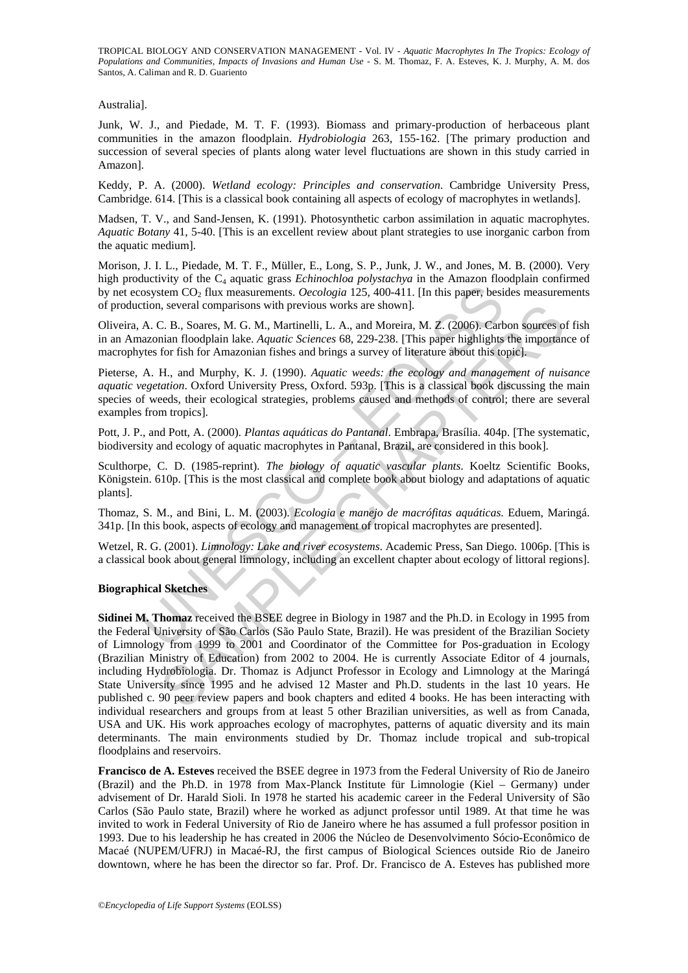Australia].

Junk, W. J., and Piedade, M. T. F. (1993). Biomass and primary-production of herbaceous plant communities in the amazon floodplain. *Hydrobiologia* 263, 155-162. [The primary production and succession of several species of plants along water level fluctuations are shown in this study carried in Amazon].

Keddy, P. A. (2000). *Wetland ecology: Principles and conservation*. Cambridge University Press, Cambridge. 614. [This is a classical book containing all aspects of ecology of macrophytes in wetlands].

Madsen, T. V., and Sand-Jensen, K. (1991). Photosynthetic carbon assimilation in aquatic macrophytes. *Aquatic Botany* 41, 5-40. [This is an excellent review about plant strategies to use inorganic carbon from the aquatic medium].

Morison, J. I. L., Piedade, M. T. F., Müller, E., Long, S. P., Junk, J. W., and Jones, M. B. (2000). Very high productivity of the C<sub>4</sub> aquatic grass *Echinochloa polystachya* in the Amazon floodplain confirmed by net ecosystem CO<sub>2</sub> flux measurements. *Oecologia* 125, 400-411. [In this paper, besides measurements of production, several comparisons with previous works are shown].

Oliveira, A. C. B., Soares, M. G. M., Martinelli, L. A., and Moreira, M. Z. (2006). Carbon sources of fish in an Amazonian floodplain lake. *Aquatic Sciences* 68, 229-238. [This paper highlights the importance of macrophytes for fish for Amazonian fishes and brings a survey of literature about this topic].

sosystem CO<sub>2</sub> flux measurements. *Oecologia* 125, 400-411. [In this paper, besition, several comparisons with previous works are shown].<br>A. C. B., Soares, M. G. M., Martinelli, L. A., and Moreira, M. Z. (2006). Cards are Pieterse, A. H., and Murphy, K. J. (1990). *Aquatic weeds: the ecology and management of nuisance aquatic vegetation*. Oxford University Press, Oxford. 593p. [This is a classical book discussing the main species of weeds, their ecological strategies, problems caused and methods of control; there are several examples from tropics].

Pott, J. P., and Pott, A. (2000). *Plantas aquáticas do Pantanal*. Embrapa, Brasília. 404p. [The systematic, biodiversity and ecology of aquatic macrophytes in Pantanal, Brazil, are considered in this book].

Sculthorpe, C. D. (1985-reprint). *The biology of aquatic vascular plants*. Koeltz Scientific Books, Königstein. 610p. [This is the most classical and complete book about biology and adaptations of aquatic plants].

Thomaz, S. M., and Bini, L. M. (2003). *Ecologia e manejo de macrófitas aquáticas*. Eduem, Maringá. 341p. [In this book, aspects of ecology and management of tropical macrophytes are presented].

Wetzel, R. G. (2001). *Limnology: Lake and river ecosystems*. Academic Press, San Diego. 1006p. [This is a classical book about general limnology, including an excellent chapter about ecology of littoral regions].

#### **Biographical Sketches**

a, several comparisons with previous works are shown].<br>
2. B., Soares, M. G. M., Martinelli, L. A., and Moreira, M. Z. (2006). Carbon sources o<br>
inian floodplain lake. Aquatic Sciences 68, 229-238. [This paper highlights t **Sidinei M. Thomaz** received the BSEE degree in Biology in 1987 and the Ph.D. in Ecology in 1995 from the Federal University of São Carlos (São Paulo State, Brazil). He was president of the Brazilian Society of Limnology from 1999 to 2001 and Coordinator of the Committee for Pos-graduation in Ecology (Brazilian Ministry of Education) from 2002 to 2004. He is currently Associate Editor of 4 journals, including Hydrobiologia. Dr. Thomaz is Adjunct Professor in Ecology and Limnology at the Maringá State University since 1995 and he advised 12 Master and Ph.D. students in the last 10 years. He published c. 90 peer review papers and book chapters and edited 4 books. He has been interacting with individual researchers and groups from at least 5 other Brazilian universities, as well as from Canada, USA and UK. His work approaches ecology of macrophytes, patterns of aquatic diversity and its main determinants. The main environments studied by Dr. Thomaz include tropical and sub-tropical floodplains and reservoirs.

**Francisco de A. Esteves** received the BSEE degree in 1973 from the Federal University of Rio de Janeiro (Brazil) and the Ph.D. in 1978 from Max-Planck Institute für Limnologie (Kiel – Germany) under advisement of Dr. Harald Sioli. In 1978 he started his academic career in the Federal University of São Carlos (São Paulo state, Brazil) where he worked as adjunct professor until 1989. At that time he was invited to work in Federal University of Rio de Janeiro where he has assumed a full professor position in 1993. Due to his leadership he has created in 2006 the Núcleo de Desenvolvimento Sócio-Econômico de Macaé (NUPEM/UFRJ) in Macaé-RJ, the first campus of Biological Sciences outside Rio de Janeiro downtown, where he has been the director so far. Prof. Dr. Francisco de A. Esteves has published more